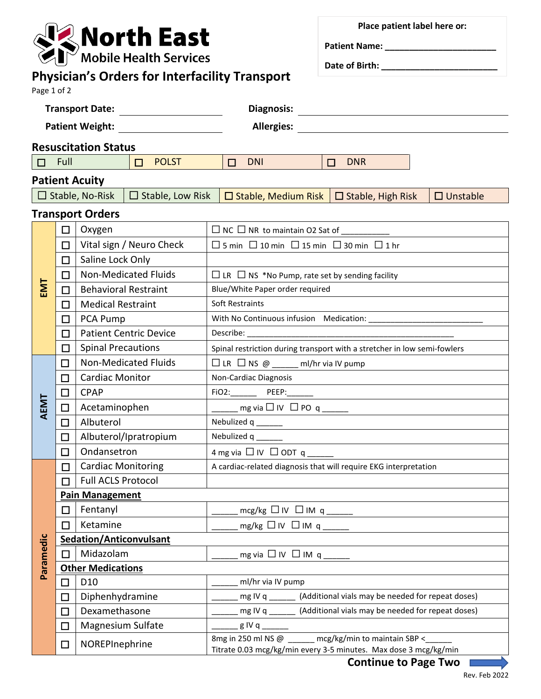| <b>SEX North East</b> |  |
|-----------------------|--|
|                       |  |

|  | Place patient label here or: |  |  |  |
|--|------------------------------|--|--|--|
|--|------------------------------|--|--|--|

**Patient Name: \_\_\_\_\_\_\_\_\_\_\_\_\_\_\_\_\_\_\_\_\_\_\_**

**Date of Birth: \_\_\_\_\_\_\_\_\_\_\_\_\_\_\_\_\_\_\_\_\_\_\_\_**

|  |  |  | <b>Physician's Orders for Interfacility Transport</b> |  |
|--|--|--|-------------------------------------------------------|--|
|--|--|--|-------------------------------------------------------|--|

Page 1 of 2

|           |        | <b>Transport Date:</b>                            | <b>Diagnosis:</b>                                                                                                                                                           |  |
|-----------|--------|---------------------------------------------------|-----------------------------------------------------------------------------------------------------------------------------------------------------------------------------|--|
|           |        | <b>Patient Weight:</b>                            | <b>Allergies:</b><br><u> 1980 - John Stein, Amerikaansk politiker (</u>                                                                                                     |  |
|           |        | <b>Resuscitation Status</b>                       |                                                                                                                                                                             |  |
| $\Box$    | Full   | <b>POLST</b><br>$\Box$                            | <b>DNI</b><br>$\Box$<br>$\Box$<br><b>DNR</b>                                                                                                                                |  |
|           |        | <b>Patient Acuity</b>                             |                                                                                                                                                                             |  |
|           |        | $\Box$ Stable, No-Risk<br>$\Box$ Stable, Low Risk | $\Box$ Stable, Medium Risk $\Box$ Stable, High Risk<br>$\Box$ Unstable                                                                                                      |  |
|           |        | <b>Transport Orders</b>                           |                                                                                                                                                                             |  |
|           | □      | Oxygen                                            |                                                                                                                                                                             |  |
|           | $\Box$ | Vital sign / Neuro Check                          | $\Box$ 5 min $\Box$ 10 min $\Box$ 15 min $\Box$ 30 min $\Box$ 1 hr                                                                                                          |  |
|           | П      | Saline Lock Only                                  |                                                                                                                                                                             |  |
|           | □      | <b>Non-Medicated Fluids</b>                       | $\Box$ LR $\Box$ NS *No Pump, rate set by sending facility                                                                                                                  |  |
| EMT       | □      | <b>Behavioral Restraint</b>                       | Blue/White Paper order required                                                                                                                                             |  |
|           | П      | <b>Medical Restraint</b>                          | Soft Restraints                                                                                                                                                             |  |
|           | □      | PCA Pump                                          |                                                                                                                                                                             |  |
|           | П      | <b>Patient Centric Device</b>                     |                                                                                                                                                                             |  |
|           | П      | <b>Spinal Precautions</b>                         | Spinal restriction during transport with a stretcher in low semi-fowlers                                                                                                    |  |
|           | П      | <b>Non-Medicated Fluids</b>                       | $\Box$ LR $\Box$ NS @ ______ ml/hr via IV pump                                                                                                                              |  |
|           | □      | <b>Cardiac Monitor</b>                            | Non-Cardiac Diagnosis                                                                                                                                                       |  |
|           | $\Box$ | <b>CPAP</b>                                       | FIO2: PEEP: PEEP: PEEP:                                                                                                                                                     |  |
| AEMT      | □      | Acetaminophen                                     |                                                                                                                                                                             |  |
|           | $\Box$ | Albuterol                                         |                                                                                                                                                                             |  |
|           | □      | Albuterol/Ipratropium                             |                                                                                                                                                                             |  |
|           | □      | Ondansetron                                       |                                                                                                                                                                             |  |
|           | П      | <b>Cardiac Monitoring</b>                         | A cardiac-related diagnosis that will require EKG interpretation                                                                                                            |  |
|           | П      | <b>Full ACLS Protocol</b>                         |                                                                                                                                                                             |  |
|           |        | <b>Pain Management</b>                            |                                                                                                                                                                             |  |
|           | П      | Fentanyl                                          |                                                                                                                                                                             |  |
|           | □      | Ketamine                                          | mg/kg $\Box$ IV $\Box$ IM q ______                                                                                                                                          |  |
|           |        | <b>Sedation/Anticonvulsant</b>                    |                                                                                                                                                                             |  |
| Paramedic | П      | Midazolam                                         | mg via $\Box$ IV $\Box$ IM q ______                                                                                                                                         |  |
|           |        | <b>Other Medications</b>                          |                                                                                                                                                                             |  |
|           | □      | D <sub>10</sub>                                   | ml/hr via IV pump                                                                                                                                                           |  |
|           | ⊔      | Diphenhydramine                                   | mg IV q _______ (Additional vials may be needed for repeat doses)                                                                                                           |  |
|           | $\Box$ | Dexamethasone                                     | mg IV q _______ (Additional vials may be needed for repeat doses)                                                                                                           |  |
|           | $\Box$ | <b>Magnesium Sulfate</b>                          |                                                                                                                                                                             |  |
|           | □      | NOREPInephrine                                    | $\underbrace{\hspace{2cm}}$ g IV q ______<br>8mg in 250 ml NS @ ______ mcg/kg/min to maintain SBP <____<br>Titrate 0.03 mcg/kg/min every 3-5 minutes. Max dose 3 mcg/kg/min |  |

**Continue to Page Two**